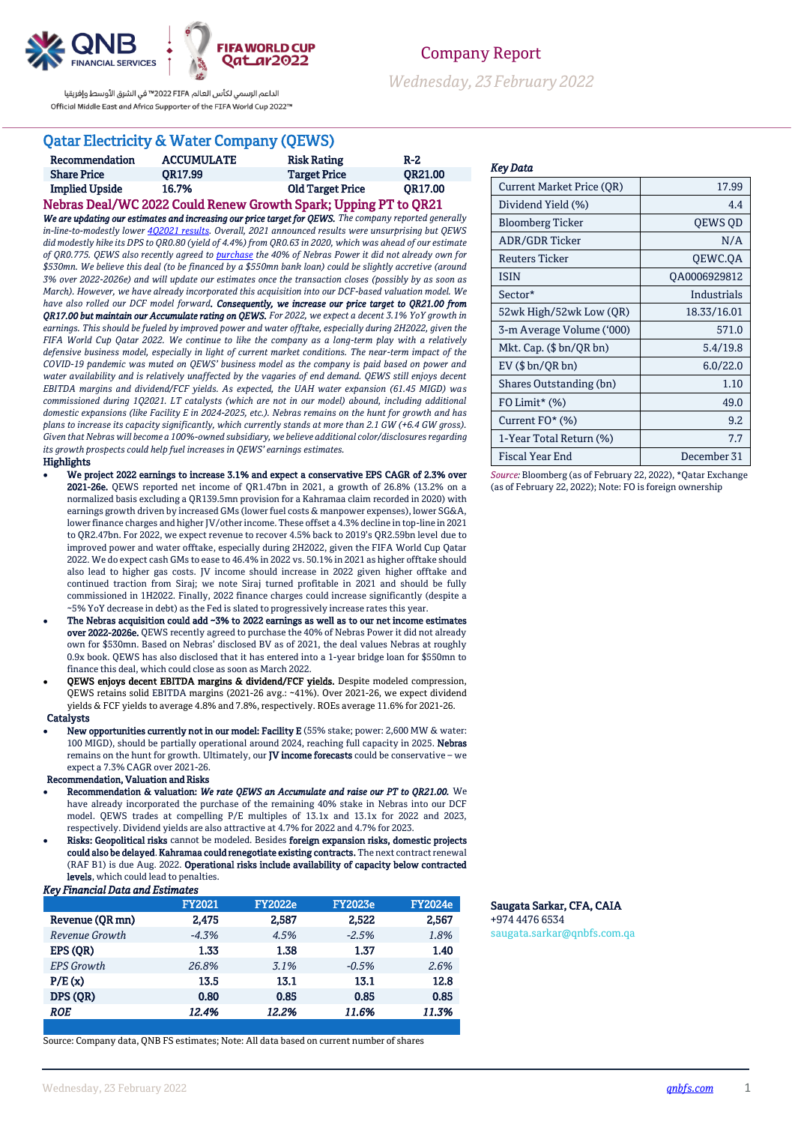

الداعم الرسمي لكأس العالم PIFA≤2022 ™ في الشرق الأوسط وإفريقيا Official Middle East and Africa Supporter of the FIFA World Cup 2022™

# Qatar Electricity & Water Company (QEWS)

| Recommendation                                                  | <b>ACCUMULATE</b> | <b>Risk Rating</b>      | $R-2$          |  |  |  |
|-----------------------------------------------------------------|-------------------|-------------------------|----------------|--|--|--|
| <b>Share Price</b>                                              | OR17.99           | <b>Target Price</b>     | <b>OR21.00</b> |  |  |  |
| <b>Implied Upside</b>                                           | 16.7%             | <b>Old Target Price</b> | OR17.00        |  |  |  |
| Nebras Deal/WC 2022 Could Renew Growth Spark; Upping PT to QR21 |                   |                         |                |  |  |  |

*We are updating our estimates and increasing our price target for QEWS. The company reported generally in-line-to-modestly lowe[r 4Q2021 results.](https://www.qnb.com/sites/qnb/qnbfs/document/en/QEWS-14-02-2022) Overall, 2021 announced results were unsurprising but QEWS did modestly hike its DPS to QR0.80 (yield of 4.4%) from QR0.63 in 2020, which was ahead of our estimate of QR0.775. QEWS also recently agreed t[o purchase](https://www.qnb.com/sites/qnb/qnbfs/document/en/QEWS-05-01-2022) the 40% of Nebras Power it did not already own for \$530mn. We believe this deal (to be financed by a \$550mn bank loan) could be slightly accretive (around 3% over 2022-2026e) and will update our estimates once the transaction closes (possibly by as soon as March). However, we have already incorporated this acquisition into our DCF-based valuation model. We have also rolled our DCF model forward. Consequently, we increase our price target to QR21.00 from QR17.00 but maintain our Accumulate rating on QEWS. For 2022, we expect a decent 3.1% YoY growth in earnings. This should be fueled by improved power and water offtake, especially during 2H2022, given the FIFA World Cup Qatar 2022. We continue to like the company as a long-term play with a relatively defensive business model, especially in light of current market conditions. The near-term impact of the COVID-19 pandemic was muted on QEWS' business model as the company is paid based on power and water availability and is relatively unaffected by the vagaries of end demand. QEWS still enjoys decent EBITDA margins and dividend/FCF yields. As expected, the UAH water expansion (61.45 MIGD) was commissioned during 1Q2021. LT catalysts (which are not in our model) abound, including additional domestic expansions (like Facility E in 2024-2025, etc.). Nebras remains on the hunt for growth and has plans to increase its capacity significantly, which currently stands at more than 2.1 GW (+6.4 GW gross). Given that Nebras will become a 100%-owned subsidiary, we believe additional color/disclosures regarding its growth prospects could help fuel increases in QEWS' earnings estimates.*

#### Highlights

- We project 2022 earnings to increase 3.1% and expect a conservative EPS CAGR of 2.3% over 2021-26e. QEWS reported net income of QR1.47bn in 2021, a growth of 26.8% (13.2% on a normalized basis excluding a QR139.5mn provision for a Kahramaa claim recorded in 2020) with earnings growth driven by increased GMs (lower fuel costs & manpower expenses), lower SG&A, lower finance charges and higher JV/other income. These offset a 4.3% decline in top-line in 2021 to QR2.47bn. For 2022, we expect revenue to recover 4.5% back to 2019's QR2.59bn level due to improved power and water offtake, especially during 2H2022, given the FIFA World Cup Qatar 2022. We do expect cash GMs to ease to 46.4% in 2022 vs. 50.1% in 2021 as higher offtake should also lead to higher gas costs. JV income should increase in 2022 given higher offtake and continued traction from Siraj; we note Siraj turned profitable in 2021 and should be fully commissioned in 1H2022. Finally, 2022 finance charges could increase significantly (despite a ~5% YoY decrease in debt) as the Fed is slated to progressively increase rates this year.
- The Nebras acquisition could add ~3% to 2022 earnings as well as to our net income estimates over 2022-2026e. QEWS recently agreed to purchase the 40% of Nebras Power it did not already own for \$530mn. Based on Nebras' disclosed BV as of 2021, the deal values Nebras at roughly 0.9x book. QEWS has also disclosed that it has entered into a 1-year bridge loan for \$550mn to finance this deal, which could close as soon as March 2022.
- QEWS enjoys decent EBITDA margins & dividend/FCF yields. Despite modeled compression, QEWS retains solid EBITDA margins (2021-26 avg.: ~41%). Over 2021-26, we expect dividend yields & FCF yields to average 4.8% and 7.8%, respectively. ROEs average 11.6% for 2021-26.

#### **Catalysts**

 New opportunities currently not in our model: Facility E (55% stake; power: 2,600 MW & water: 100 MIGD), should be partially operational around 2024, reaching full capacity in 2025. Nebras remains on the hunt for growth. Ultimately, our JV income forecasts could be conservative – we expect a 7.3% CAGR over 2021-26.

### Recommendation, Valuation and Risks

 Recommendation & valuation: *We rate QEWS an Accumulate and raise our PT to QR21.00.* We have already incorporated the purchase of the remaining 40% stake in Nebras into our DCF model. QEWS trades at compelling P/E multiples of 13.1x and 13.1x for 2022 and 2023, respectively. Dividend yields are also attractive at 4.7% for 2022 and 4.7% for 2023.

 Risks: Geopolitical risks cannot be modeled. Besides foreign expansion risks, domestic projects could also be delayed. Kahramaa could renegotiate existing contracts. The next contract renewal (RAF B1) is due Aug. 2022. Operational risks include availability of capacity below contracted levels, which could lead to penalties.

#### *Key Financial Data and Estimates*

|                   | <b>FY2021</b> | <b>FY2022e</b> | <b>FY2023e</b> | <b>FY2024e</b> |
|-------------------|---------------|----------------|----------------|----------------|
| Revenue (OR mn)   | 2.475         | 2.587          | 2.522          | 2.567          |
| Revenue Growth    | $-4.3%$       | 4.5%           | $-2.5%$        | 1.8%           |
| EPS (OR)          | 1.33          | 1.38           | 1.37           | 1.40           |
| <b>EPS</b> Growth | 26.8%         | 3.1%           | $-0.5%$        | 2.6%           |
| P/E(x)            | 13.5          | 13.1           | 13.1           | 12.8           |
| DPS (OR)          | 0.80          | 0.85           | 0.85           | 0.85           |
| <b>ROE</b>        | 12.4%         | 12.2%          | 11.6%          | 11.3%          |

Source: Company data, QNB FS estimates; Note: All data based on current number of shares

# Company Report *Wednesday, 23February 2022*

#### *Key Data*

| <b>Current Market Price (OR)</b> | 17.99        |
|----------------------------------|--------------|
| Dividend Yield (%)               | 4.4          |
| <b>Bloomberg Ticker</b>          | QEWS QD      |
| <b>ADR/GDR Ticker</b>            | N/A          |
| <b>Reuters Ticker</b>            | QEWC.QA      |
| <b>ISIN</b>                      | QA0006929812 |
| Sector*                          | Industrials  |
| 52wk High/52wk Low (QR)          | 18.33/16.01  |
| 3-m Average Volume ('000)        | 571.0        |
| Mkt. Cap. $(\$bn/QR bn)$         | 5.4/19.8     |
| $EV$ ( $$bn/QR bn$ )             | 6.0/22.0     |
| Shares Outstanding (bn)          | 1.10         |
| FO Limit* (%)                    | 49.0         |
| Current FO* (%)                  | 9.2          |
| 1-Year Total Return (%)          | 7.7          |
| Fiscal Year End                  | December 31  |
|                                  |              |

*Source:* Bloomberg (as of February 22, 2022), \*Qatar Exchange (as of February 22, 2022); Note: FO is foreign ownership

### Saugata Sarkar, CFA, CAIA +974 4476 6534

saugata.sarkar@qnbfs.com.qa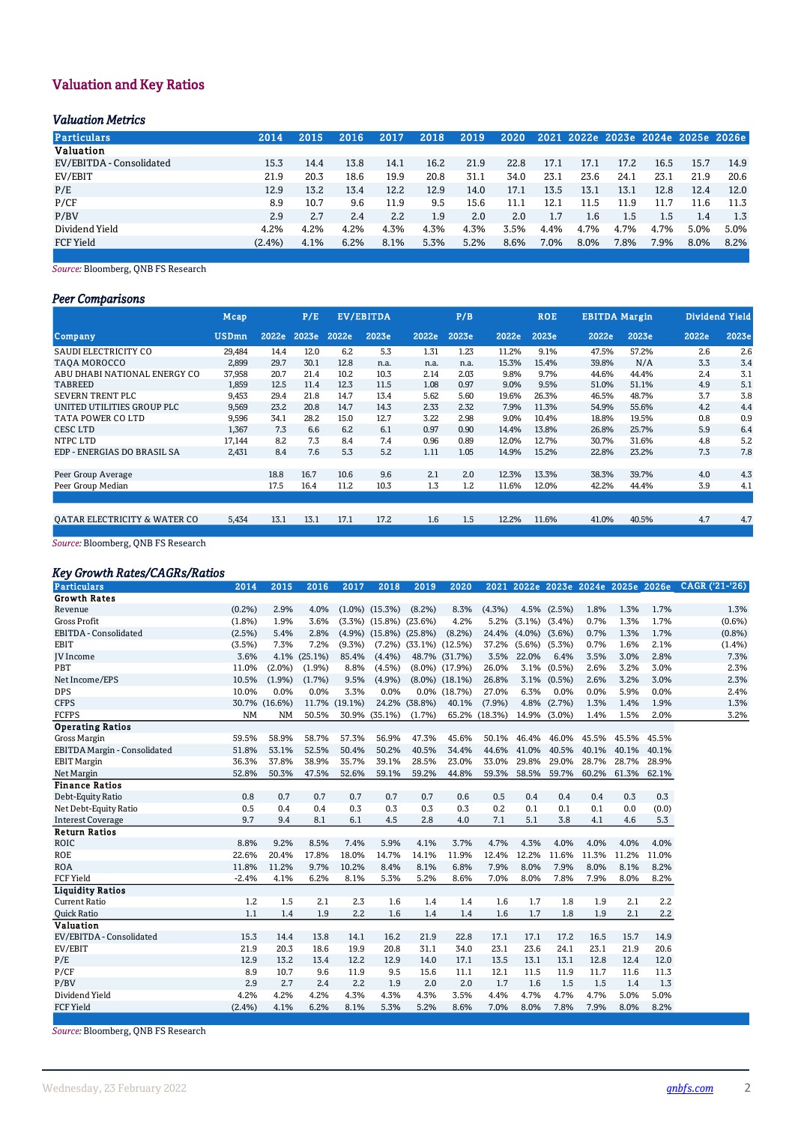# Valuation and Key Ratios

## *Valuation Metrics*

| <b>Particulars</b>       | 2014      | 2015 | 2016 | 2017 | 2018 | 2019 | 2020 |      |      |      |      |      | 2021 2022e 2023e 2024e 2025e 2026e |
|--------------------------|-----------|------|------|------|------|------|------|------|------|------|------|------|------------------------------------|
| <b>Valuation</b>         |           |      |      |      |      |      |      |      |      |      |      |      |                                    |
| EV/EBITDA - Consolidated | 15.3      | 14.4 | 13.8 | 14.1 | 16.2 | 21.9 | 22.8 | 17.1 | 17.1 | 17.2 | 16.5 | 15.7 | 14.9                               |
| EV/EBIT                  | 21.9      | 20.3 | 18.6 | 19.9 | 20.8 | 31.1 | 34.0 | 23.1 | 23.6 | 24.1 | 23.1 | 21.9 | 20.6                               |
| P/E                      | 12.9      | 13.2 | 13.4 | 12.2 | 12.9 | 14.0 | 17.1 | 13.5 | 13.1 | 13.1 | 12.8 | 12.4 | 12.0                               |
| P/CF                     | 8.9       | 10.7 | 9.6  | 11.9 | 9.5  | 15.6 | 11.1 | 12.1 | 11.5 | 11.9 | 11.7 | 11.6 | 11.3                               |
| P/BV                     | 2.9       | 2.7  | 2.4  | 2.2  | 1.9  | 2.0  | 2.0  | 1.7  | 1.6  | 1.5  | 1.5  | 1.4  | 1.3                                |
| Dividend Yield           | 4.2%      | 4.2% | 4.2% | 4.3% | 4.3% | 4.3% | 3.5% | 4.4% | 4.7% | 4.7% | 4.7% | 5.0% | 5.0%                               |
| <b>FCF Yield</b>         | $(2.4\%)$ | 4.1% | 6.2% | 8.1% | 5.3% | 5.2% | 8.6% | 7.0% | 8.0% | 7.8% | 7.9% | 8.0% | 8.2%                               |

*Source:* Bloomberg, QNB FS Research

## *Peer Comparisons*

|                              | Mcap         |       | P/E   |       | <b>EV/EBITDA</b> |       | P/B   |       | <b>ROE</b> | <b>EBITDA Margin</b> |       |       | <b>Dividend Yield</b> |
|------------------------------|--------------|-------|-------|-------|------------------|-------|-------|-------|------------|----------------------|-------|-------|-----------------------|
| <b>Company</b>               | <b>USDmn</b> | 2022e | 2023e | 2022e | 2023e            | 2022e | 2023e | 2022e | 2023e      | 2022e                | 2023e | 2022e | 2023e                 |
| SAUDI ELECTRICITY CO         | 29,484       | 14.4  | 12.0  | 6.2   | 5.3              | 1.31  | 1.23  | 11.2% | 9.1%       | 47.5%                | 57.2% | 2.6   | 2.6                   |
| TAOA MOROCCO                 | 2,899        | 29.7  | 30.1  | 12.8  | n.a.             | n.a.  | n.a.  | 15.3% | 15.4%      | 39.8%                | N/A   | 3.3   | 3.4                   |
| ABU DHABI NATIONAL ENERGY CO | 37,958       | 20.7  | 21.4  | 10.2  | 10.3             | 2.14  | 2.03  | 9.8%  | 9.7%       | 44.6%                | 44.4% | 2.4   | 3.1                   |
| <b>TABREED</b>               | 1.859        | 12.5  | 11.4  | 12.3  | 11.5             | 1.08  | 0.97  | 9.0%  | 9.5%       | 51.0%                | 51.1% | 4.9   | 5.1                   |
| SEVERN TRENT PLC             | 9,453        | 29.4  | 21.8  | 14.7  | 13.4             | 5.62  | 5.60  | 19.6% | 26.3%      | 46.5%                | 48.7% | 3.7   | 3.8                   |
| UNITED UTILITIES GROUP PLC   | 9,569        | 23.2  | 20.8  | 14.7  | 14.3             | 2.33  | 2.32  | 7.9%  | 11.3%      | 54.9%                | 55.6% | 4.2   | 4.4                   |
| TATA POWER CO LTD            | 9,596        | 34.1  | 28.2  | 15.0  | 12.7             | 3.22  | 2.98  | 9.0%  | 10.4%      | 18.8%                | 19.5% | 0.8   | 0.9                   |
| <b>CESC LTD</b>              | 1,367        | 7.3   | 6.6   | 6.2   | 6.1              | 0.97  | 0.90  | 14.4% | 13.8%      | 26.8%                | 25.7% | 5.9   | 6.4                   |
| NTPC LTD                     | 17,144       | 8.2   | 7.3   | 8.4   | 7.4              | 0.96  | 0.89  | 12.0% | 12.7%      | 30.7%                | 31.6% | 4.8   | 5.2                   |
| EDP - ENERGIAS DO BRASIL SA  | 2,431        | 8.4   | 7.6   | 5.3   | 5.2              | 1.11  | 1.05  | 14.9% | 15.2%      | 22.8%                | 23.2% | 7.3   | 7.8                   |
|                              |              |       |       |       |                  |       |       |       |            |                      |       |       |                       |
| Peer Group Average           |              | 18.8  | 16.7  | 10.6  | 9.6              | 2.1   | 2.0   | 12.3% | 13.3%      | 38.3%                | 39.7% | 4.0   | 4.3                   |
| Peer Group Median            |              | 17.5  | 16.4  | 11.2  | 10.3             | 1.3   | 1.2   | 11.6% | 12.0%      | 42.2%                | 44.4% | 3.9   | 4.1                   |
|                              |              |       |       |       |                  |       |       |       |            |                      |       |       |                       |
| OATAR ELECTRICITY & WATER CO | 5,434        | 13.1  | 13.1  | 17.1  | 17.2             | 1.6   | 1.5   | 12.2% | 11.6%      | 41.0%                | 40.5% | 4.7   | 4.7                   |
|                              |              |       |       |       |                  |       |       |       |            |                      |       |       |                       |

*Source:* Bloomberg, QNB FS Research

## *Key Growth Rates/CAGRs/Ratios*

| <b>Growth Rates</b>                                                                                                                                  |        |
|------------------------------------------------------------------------------------------------------------------------------------------------------|--------|
| 1.7%<br>2.9%<br>4.5% (2.5%)<br>1.3%<br>(0.2%)<br>4.0%<br>$(1.0\%)$ $(15.3\%)$<br>$(8.2\%)$<br>8.3%<br>(4.3%)<br>1.8%<br>Revenue                      | 1.3%   |
| <b>Gross Profit</b><br>4.2%<br>0.7%<br>1.3%<br>1.7%<br>(1.8%)<br>1.9%<br>3.6%<br>$(3.3\%)$ $(15.8\%)$ $(23.6\%)$<br>5.2%<br>$(3.1\%)$ $(3.4\%)$      | (0.6%) |
| EBITDA - Consolidated<br>(2.5%)<br>(8.2%)<br>0.7%<br>1.3%<br>1.7%<br>5.4%<br>2.8%<br>$(4.9\%)$ $(15.8\%)$ $(25.8\%)$<br>24.4%<br>$(4.0\%)$ $(3.6\%)$ | (0.8%) |
| <b>EBIT</b><br>2.1%<br>(3.5%)<br>7.3%<br>7.2%<br>$(7.2\%)$ $(33.1\%)$ $(12.5\%)$<br>$(5.6\%)$ $(5.3\%)$<br>0.7%<br>1.6%<br>$(9.3\%)$<br>37.2%        | (1.4%) |
| 3.6%<br>6.4%<br>3.5%<br>3.0%<br>2.8%<br>4.1%<br>(25.1%)<br>85.4%<br>$(4.4\%)$<br>48.7% (31.7%)<br>3.5%<br>22.0%<br><b>IV</b> Income                  | 7.3%   |
| PBT<br>3.0%<br>$(2.0\%)$<br>8.8%<br>(4.5%)<br>(0.5% )<br>2.6%<br>3.2%<br>11.0%<br>(1.9%)<br>$(8.0\%)$ $(17.9\%)$<br>26.0%<br>3.1%                    | 2.3%   |
| 3.0%<br>Net Income/EPS<br>10.5%<br>(1.9%)<br>(1.7%)<br>9.5%<br>(4.9%)<br>$(8.0\%)$ $(18.1\%)$<br>26.8%<br>3.1%<br>(0.5% )<br>2.6%<br>3.2%            | 2.3%   |
| <b>DPS</b><br>10.0%<br>3.3%<br>0.0%<br>0.0%<br>5.9%<br>0.0%<br>0.0%<br>0.0%<br>0.0% (18.7%)<br>27.0%<br>6.3%<br>0.0%                                 | 2.4%   |
| <b>CFPS</b><br>24.2% (38.8%)<br>(2.7%)<br>1.4%<br>1.9%<br>30.7% (16.6%)<br>11.7% (19.1%)<br>40.1%<br>(7.9%)<br>4.8%<br>1.3%                          | 1.3%   |
| <b>FCFPS</b><br><b>NM</b><br>65.2% (18.3%)<br>14.9%<br>1.5%<br>2.0%<br><b>NM</b><br>50.5%<br>30.9% (35.1%)<br>(1.7%)<br>$(3.0\%)$<br>1.4%            | 3.2%   |
| <b>Operating Ratios</b>                                                                                                                              |        |
| <b>Gross Margin</b><br>58.9%<br>58.7%<br>57.3%<br>56.9%<br>47.3%<br>59.5%<br>45.6%<br>50.1%<br>46.4%<br>46.0%<br>45.5%<br>45.5%<br>45.5%             |        |
| 50.2%<br>40.5%<br>EBITDA Margin - Consolidated<br>51.8%<br>53.1%<br>52.5%<br>50.4%<br>34.4%<br>44.6%<br>41.0%<br>40.5%<br>40.1%<br>40.1%<br>40.1%    |        |
| 37.8%<br>35.7%<br>39.1%<br>28.5%<br>29.8%<br>29.0%<br>28.7%<br>28.9%<br><b>EBIT</b> Margin<br>36.3%<br>38.9%<br>23.0%<br>33.0%<br>28.7%              |        |
| Net Margin<br>52.8%<br>50.3%<br>47.5%<br>52.6%<br>59.2%<br>58.5%<br>59.7%<br>60.2%<br>61.3%<br>62.1%<br>59.1%<br>44.8%<br>59.3%                      |        |
| <b>Finance Ratios</b>                                                                                                                                |        |
| 0.8<br>0.7<br>0.7<br>0.7<br>0.7<br>0.7<br>0.6<br>0.4<br>0.3<br>0.3<br>Debt-Equity Ratio<br>0.5<br>0.4<br>0.4                                         |        |
| 0.3<br>0.5<br>0.3<br>0.3<br>0.3<br>0.2<br>0.1<br>0.1<br>Net Debt-Equity Ratio<br>0.4<br>0.4<br>0.1<br>0.0<br>(0.0)                                   |        |
| 2.8<br><b>Interest Coverage</b><br>9.7<br>9.4<br>8.1<br>6.1<br>4.5<br>4.0<br>7.1<br>4.1<br>4.6<br>5.1<br>3.8<br>5.3                                  |        |
| <b>Return Ratios</b>                                                                                                                                 |        |
| ROIC<br>8.8%<br>9.2%<br>8.5%<br>7.4%<br>5.9%<br>4.1%<br>3.7%<br>4.7%<br>4.0%<br>4.0%<br>4.0%<br>4.0%<br>4.3%                                         |        |
| <b>ROE</b><br>14.7%<br>12.2%<br>11.6%<br>11.2%<br>22.6%<br>20.4%<br>17.8%<br>18.0%<br>14.1%<br>11.9%<br>12.4%<br>11.3%<br>11.0%                      |        |
| <b>ROA</b><br>7.9%<br>8.0%<br>8.1%<br>8.2%<br>11.8%<br>11.2%<br>9.7%<br>10.2%<br>8.4%<br>8.1%<br>6.8%<br>7.9%<br>8.0%                                |        |
| <b>FCF Yield</b><br>$-2.4%$<br>6.2%<br>8.1%<br>5.3%<br>5.2%<br>8.6%<br>7.0%<br>8.0%<br>7.8%<br>7.9%<br>8.0%<br>8.2%<br>4.1%                          |        |
| <b>Liquidity Ratios</b>                                                                                                                              |        |
| 1.2<br>1.5<br>2.1<br>2.3<br>1.6<br>1.6<br>1.7<br>1.9<br>2.1<br>2.2<br><b>Current Ratio</b><br>1.4<br>1.4<br>1.8                                      |        |
| 1.1<br>Quick Ratio<br>1.4<br>1.9<br>2.2<br>1.6<br>1.4<br>1.4<br>1.6<br>1.7<br>2.1<br>2.2<br>1.8<br>1.9                                               |        |
| <b>Valuation</b>                                                                                                                                     |        |
| EV/EBITDA - Consolidated<br>15.3<br>16.2<br>21.9<br>22.8<br>16.5<br>15.7<br>14.9<br>14.4<br>13.8<br>14.1<br>17.1<br>17.1<br>17.2                     |        |
| EV/EBIT<br>21.9<br>20.8<br>31.1<br>34.0<br>23.1<br>23.6<br>23.1<br>21.9<br>20.6<br>20.3<br>18.6<br>19.9<br>24.1                                      |        |
| P/E<br>12.9<br>13.2<br>13.4<br>12.2<br>12.9<br>14.0<br>17.1<br>13.5<br>13.1<br>12.8<br>12.4<br>12.0<br>13.1                                          |        |
| P/CF<br>15.6<br>11.6<br>8.9<br>10.7<br>9.6<br>11.9<br>9.5<br>11.1<br>12.1<br>11.5<br>11.7<br>11.3<br>11.9                                            |        |
| 2.9<br>2.0<br>2.0<br>1.7<br>P/BV<br>2.7<br>2.4<br>2.2<br>1.9<br>1.6<br>1.5<br>1.5<br>1.4<br>1.3                                                      |        |
| Dividend Yield<br>4.2%<br>4.2%<br>4.2%<br>4.3%<br>4.3%<br>4.3%<br>3.5%<br>4.4%<br>4.7%<br>4.7%<br>4.7%<br>5.0%<br>5.0%                               |        |
| <b>FCF Yield</b><br>8.2%<br>(2.4%)<br>6.2%<br>8.1%<br>5.3%<br>5.2%<br>8.6%<br>7.0%<br>8.0%<br>7.9%<br>8.0%<br>4.1%<br>7.8%                           |        |

*Source:* Bloomberg, QNB FS Research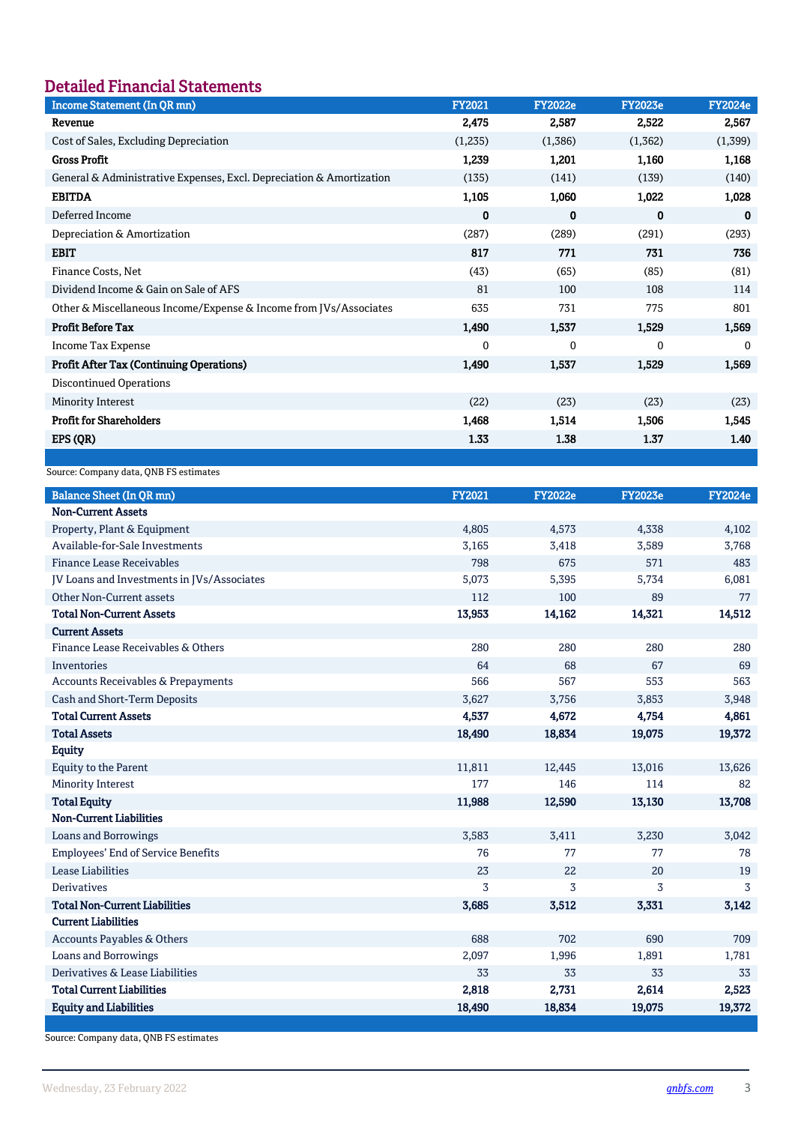# Detailed Financial Statements

 $\overline{\phantom{a}}$ 

| <b>Income Statement (In QR mn)</b>                                   | <b>FY2021</b> | <b>FY2022e</b> | <b>FY2023e</b> | <b>FY2024e</b> |
|----------------------------------------------------------------------|---------------|----------------|----------------|----------------|
| Revenue                                                              | 2,475         | 2,587          | 2,522          | 2,567          |
| Cost of Sales, Excluding Depreciation                                | (1,235)       | (1,386)        | (1,362)        | (1, 399)       |
| <b>Gross Profit</b>                                                  | 1,239         | 1,201          | 1,160          | 1,168          |
| General & Administrative Expenses, Excl. Depreciation & Amortization | (135)         | (141)          | (139)          | (140)          |
| <b>EBITDA</b>                                                        | 1,105         | 1,060          | 1,022          | 1,028          |
| Deferred Income                                                      | 0             | 0              | $\bf{0}$       | 0              |
| Depreciation & Amortization                                          | (287)         | (289)          | (291)          | (293)          |
| <b>EBIT</b>                                                          | 817           | 771            | 731            | 736            |
| Finance Costs, Net                                                   | (43)          | (65)           | (85)           | (81)           |
| Dividend Income & Gain on Sale of AFS                                | 81            | 100            | 108            | 114            |
| Other & Miscellaneous Income/Expense & Income from JVs/Associates    | 635           | 731            | 775            | 801            |
| <b>Profit Before Tax</b>                                             | 1,490         | 1,537          | 1,529          | 1,569          |
| <b>Income Tax Expense</b>                                            | $\mathbf{0}$  | $\Omega$       | $\Omega$       | $\Omega$       |
| <b>Profit After Tax (Continuing Operations)</b>                      | 1,490         | 1,537          | 1,529          | 1,569          |
| <b>Discontinued Operations</b>                                       |               |                |                |                |
| Minority Interest                                                    | (22)          | (23)           | (23)           | (23)           |
| <b>Profit for Shareholders</b>                                       | 1,468         | 1,514          | 1,506          | 1,545          |
| EPS (QR)                                                             | 1.33          | 1.38           | 1.37           | 1.40           |
|                                                                      |               |                |                |                |

Source: Company data, QNB FS estimates

| <b>Balance Sheet (In QR mn)</b>            | <b>FY2021</b> | <b>FY2022e</b> | <b>FY2023e</b> | <b>FY2024e</b> |
|--------------------------------------------|---------------|----------------|----------------|----------------|
| <b>Non-Current Assets</b>                  |               |                |                |                |
| Property, Plant & Equipment                | 4,805         | 4,573          | 4,338          | 4,102          |
| Available-for-Sale Investments             | 3,165         | 3,418          | 3,589          | 3,768          |
| <b>Finance Lease Receivables</b>           | 798           | 675            | 571            | 483            |
| JV Loans and Investments in JVs/Associates | 5,073         | 5,395          | 5,734          | 6,081          |
| Other Non-Current assets                   | 112           | 100            | 89             | 77             |
| <b>Total Non-Current Assets</b>            | 13,953        | 14,162         | 14,321         | 14,512         |
| <b>Current Assets</b>                      |               |                |                |                |
| Finance Lease Receivables & Others         | 280           | 280            | 280            | 280            |
| Inventories                                | 64            | 68             | 67             | 69             |
| Accounts Receivables & Prepayments         | 566           | 567            | 553            | 563            |
| Cash and Short-Term Deposits               | 3,627         | 3,756          | 3,853          | 3,948          |
| <b>Total Current Assets</b>                | 4,537         | 4,672          | 4,754          | 4,861          |
| <b>Total Assets</b>                        | 18,490        | 18,834         | 19,075         | 19,372         |
| <b>Equity</b>                              |               |                |                |                |
| <b>Equity to the Parent</b>                | 11,811        | 12,445         | 13,016         | 13,626         |
| <b>Minority Interest</b>                   | 177           | 146            | 114            | 82             |
| <b>Total Equity</b>                        | 11,988        | 12,590         | 13,130         | 13,708         |
| <b>Non-Current Liabilities</b>             |               |                |                |                |
| <b>Loans and Borrowings</b>                | 3,583         | 3,411          | 3,230          | 3,042          |
| <b>Employees' End of Service Benefits</b>  | 76            | 77             | 77             | 78             |
| <b>Lease Liabilities</b>                   | 23            | 22             | 20             | 19             |
| <b>Derivatives</b>                         | 3             | 3              | 3              | 3              |
| <b>Total Non-Current Liabilities</b>       | 3,685         | 3,512          | 3,331          | 3,142          |
| <b>Current Liabilities</b>                 |               |                |                |                |
| Accounts Payables & Others                 | 688           | 702            | 690            | 709            |
| <b>Loans and Borrowings</b>                | 2,097         | 1,996          | 1,891          | 1,781          |
| Derivatives & Lease Liabilities            | 33            | 33             | 33             | 33             |
| <b>Total Current Liabilities</b>           | 2,818         | 2,731          | 2,614          | 2,523          |
| <b>Equity and Liabilities</b>              | 18,490        | 18,834         | 19,075         | 19,372         |

Source: Company data, QNB FS estimates